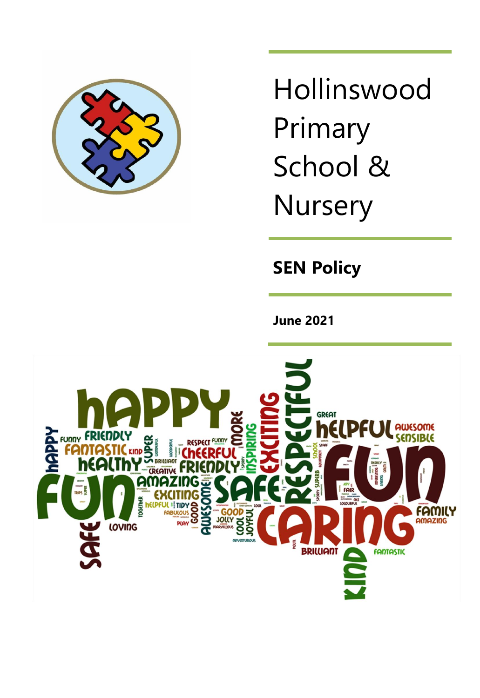

Hollinswood Primary School & **Nursery** 

**SEN Policy**

**June 2021**

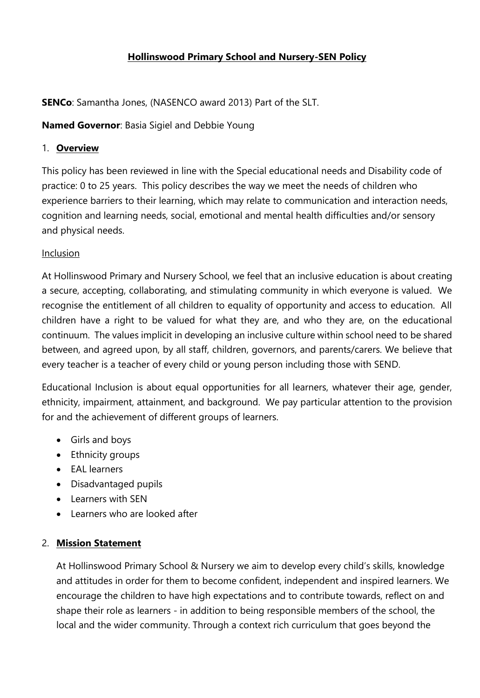# **Hollinswood Primary School and Nursery-SEN Policy**

**SENCo**: Samantha Jones, (NASENCO award 2013) Part of the SLT.

**Named Governor**: Basia Sigiel and Debbie Young

### 1. **Overview**

This policy has been reviewed in line with the Special educational needs and Disability code of practice: 0 to 25 years. This policy describes the way we meet the needs of children who experience barriers to their learning, which may relate to communication and interaction needs, cognition and learning needs, social, emotional and mental health difficulties and/or sensory and physical needs.

### Inclusion

At Hollinswood Primary and Nursery School, we feel that an inclusive education is about creating a secure, accepting, collaborating, and stimulating community in which everyone is valued. We recognise the entitlement of all children to equality of opportunity and access to education. All children have a right to be valued for what they are, and who they are, on the educational continuum. The values implicit in developing an inclusive culture within school need to be shared between, and agreed upon, by all staff, children, governors, and parents/carers. We believe that every teacher is a teacher of every child or young person including those with SEND.

Educational Inclusion is about equal opportunities for all learners, whatever their age, gender, ethnicity, impairment, attainment, and background. We pay particular attention to the provision for and the achievement of different groups of learners.

- Girls and boys
- Ethnicity groups
- EAL learners
- Disadvantaged pupils
- Learners with SEN
- Learners who are looked after

# 2. **Mission Statement**

At Hollinswood Primary School & Nursery we aim to develop every child's skills, knowledge and attitudes in order for them to become confident, independent and inspired learners. We encourage the children to have high expectations and to contribute towards, reflect on and shape their role as learners - in addition to being responsible members of the school, the local and the wider community. Through a context rich curriculum that goes beyond the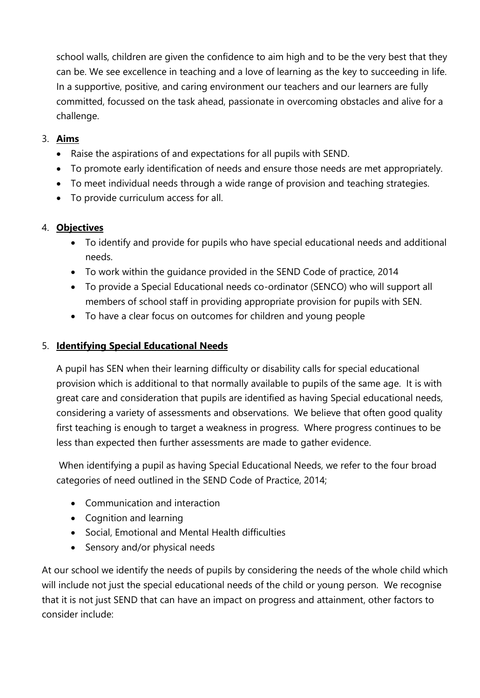school walls, children are given the confidence to aim high and to be the very best that they can be. We see excellence in teaching and a love of learning as the key to succeeding in life. In a supportive, positive, and caring environment our teachers and our learners are fully committed, focussed on the task ahead, passionate in overcoming obstacles and alive for a challenge.

# 3. **Aims**

- Raise the aspirations of and expectations for all pupils with SEND.
- To promote early identification of needs and ensure those needs are met appropriately.
- To meet individual needs through a wide range of provision and teaching strategies.
- To provide curriculum access for all.

### 4. **Objectives**

- To identify and provide for pupils who have special educational needs and additional needs.
- To work within the guidance provided in the SEND Code of practice, 2014
- To provide a Special Educational needs co-ordinator (SENCO) who will support all members of school staff in providing appropriate provision for pupils with SEN.
- To have a clear focus on outcomes for children and young people

### 5. **Identifying Special Educational Needs**

A pupil has SEN when their learning difficulty or disability calls for special educational provision which is additional to that normally available to pupils of the same age. It is with great care and consideration that pupils are identified as having Special educational needs, considering a variety of assessments and observations. We believe that often good quality first teaching is enough to target a weakness in progress. Where progress continues to be less than expected then further assessments are made to gather evidence.

When identifying a pupil as having Special Educational Needs, we refer to the four broad categories of need outlined in the SEND Code of Practice, 2014;

- Communication and interaction
- Cognition and learning
- Social, Emotional and Mental Health difficulties
- Sensory and/or physical needs

At our school we identify the needs of pupils by considering the needs of the whole child which will include not just the special educational needs of the child or young person. We recognise that it is not just SEND that can have an impact on progress and attainment, other factors to consider include: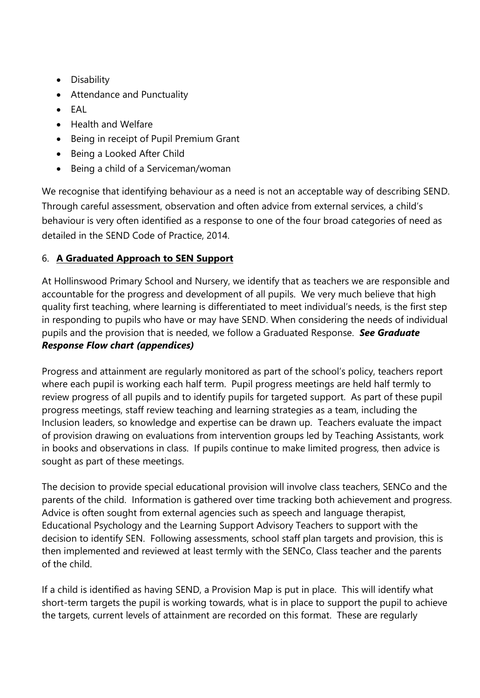- Disability
- Attendance and Punctuality
- EAL
- Health and Welfare
- Being in receipt of Pupil Premium Grant
- Being a Looked After Child
- Being a child of a Serviceman/woman

We recognise that identifying behaviour as a need is not an acceptable way of describing SEND. Through careful assessment, observation and often advice from external services, a child's behaviour is very often identified as a response to one of the four broad categories of need as detailed in the SEND Code of Practice, 2014.

# 6. **A Graduated Approach to SEN Support**

At Hollinswood Primary School and Nursery, we identify that as teachers we are responsible and accountable for the progress and development of all pupils. We very much believe that high quality first teaching, where learning is differentiated to meet individual's needs, is the first step in responding to pupils who have or may have SEND. When considering the needs of individual pupils and the provision that is needed, we follow a Graduated Response. *See Graduate Response Flow chart (appendices)*

Progress and attainment are regularly monitored as part of the school's policy, teachers report where each pupil is working each half term. Pupil progress meetings are held half termly to review progress of all pupils and to identify pupils for targeted support. As part of these pupil progress meetings, staff review teaching and learning strategies as a team, including the Inclusion leaders, so knowledge and expertise can be drawn up. Teachers evaluate the impact of provision drawing on evaluations from intervention groups led by Teaching Assistants, work in books and observations in class. If pupils continue to make limited progress, then advice is sought as part of these meetings.

The decision to provide special educational provision will involve class teachers, SENCo and the parents of the child. Information is gathered over time tracking both achievement and progress. Advice is often sought from external agencies such as speech and language therapist, Educational Psychology and the Learning Support Advisory Teachers to support with the decision to identify SEN. Following assessments, school staff plan targets and provision, this is then implemented and reviewed at least termly with the SENCo, Class teacher and the parents of the child.

If a child is identified as having SEND, a Provision Map is put in place. This will identify what short-term targets the pupil is working towards, what is in place to support the pupil to achieve the targets, current levels of attainment are recorded on this format. These are regularly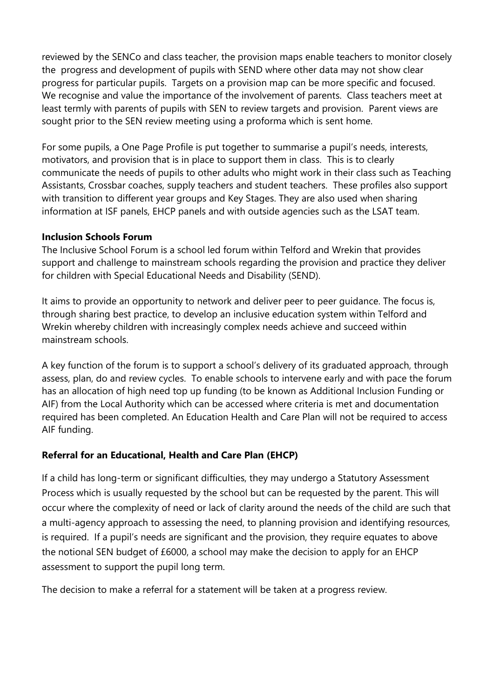reviewed by the SENCo and class teacher, the provision maps enable teachers to monitor closely the progress and development of pupils with SEND where other data may not show clear progress for particular pupils. Targets on a provision map can be more specific and focused. We recognise and value the importance of the involvement of parents. Class teachers meet at least termly with parents of pupils with SEN to review targets and provision. Parent views are sought prior to the SEN review meeting using a proforma which is sent home.

For some pupils, a One Page Profile is put together to summarise a pupil's needs, interests, motivators, and provision that is in place to support them in class. This is to clearly communicate the needs of pupils to other adults who might work in their class such as Teaching Assistants, Crossbar coaches, supply teachers and student teachers. These profiles also support with transition to different year groups and Key Stages. They are also used when sharing information at ISF panels, EHCP panels and with outside agencies such as the LSAT team.

### **Inclusion Schools Forum**

The Inclusive School Forum is a school led forum within Telford and Wrekin that provides support and challenge to mainstream schools regarding the provision and practice they deliver for children with Special Educational Needs and Disability (SEND).

It aims to provide an opportunity to network and deliver peer to peer guidance. The focus is, through sharing best practice, to develop an inclusive education system within Telford and Wrekin whereby children with increasingly complex needs achieve and succeed within mainstream schools.

A key function of the forum is to support a school's delivery of its graduated approach, through assess, plan, do and review cycles. To enable schools to intervene early and with pace the forum has an allocation of high need top up funding (to be known as Additional Inclusion Funding or AIF) from the Local Authority which can be accessed where criteria is met and documentation required has been completed. An Education Health and Care Plan will not be required to access AIF funding.

### **Referral for an Educational, Health and Care Plan (EHCP)**

If a child has long-term or significant difficulties, they may undergo a Statutory Assessment Process which is usually requested by the school but can be requested by the parent. This will occur where the complexity of need or lack of clarity around the needs of the child are such that a multi-agency approach to assessing the need, to planning provision and identifying resources, is required. If a pupil's needs are significant and the provision, they require equates to above the notional SEN budget of £6000, a school may make the decision to apply for an EHCP assessment to support the pupil long term.

The decision to make a referral for a statement will be taken at a progress review.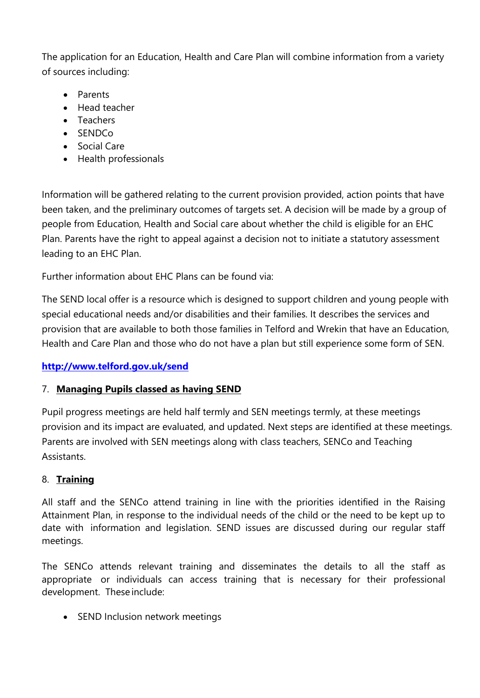The application for an Education, Health and Care Plan will combine information from a variety of sources including:

- Parents
- Head teacher
- Teachers
- SENDCo
- Social Care
- Health professionals

Information will be gathered relating to the current provision provided, action points that have been taken, and the preliminary outcomes of targets set. A decision will be made by a group of people from Education, Health and Social care about whether the child is eligible for an EHC Plan. Parents have the right to appeal against a decision not to initiate a statutory assessment leading to an EHC Plan.

Further information about EHC Plans can be found via:

The SEND local offer is a resource which is designed to support children and young people with special educational needs and/or disabilities and their families. It describes the services and provision that are available to both those families in Telford and Wrekin that have an Education, Health and Care Plan and those who do not have a plan but still experience some form of SEN.

### **<http://www.telford.gov.uk/send>**

### 7. **Managing Pupils classed as having SEND**

Pupil progress meetings are held half termly and SEN meetings termly, at these meetings provision and its impact are evaluated, and updated. Next steps are identified at these meetings. Parents are involved with SEN meetings along with class teachers, SENCo and Teaching Assistants.

### 8. **Training**

All staff and the SENCo attend training in line with the priorities identified in the Raising Attainment Plan, in response to the individual needs of the child or the need to be kept up to date with information and legislation. SEND issues are discussed during our regular staff meetings.

The SENCo attends relevant training and disseminates the details to all the staff as appropriate or individuals can access training that is necessary for their professional development. These include:

• SEND Inclusion network meetings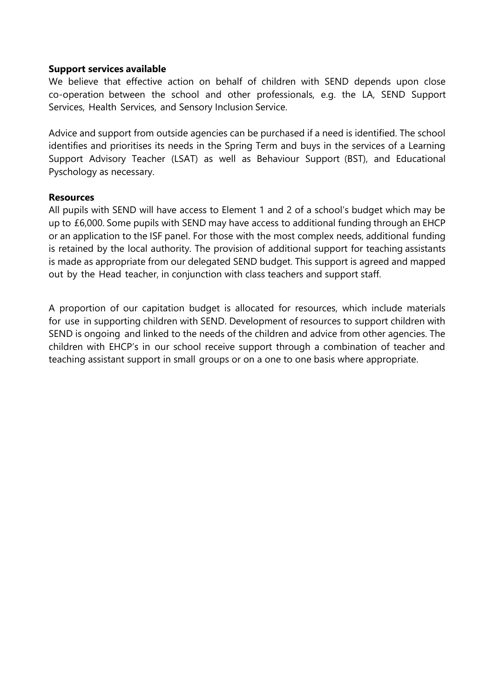#### **Support services available**

We believe that effective action on behalf of children with SEND depends upon close co-operation between the school and other professionals, e.g. the LA, SEND Support Services, Health Services, and Sensory Inclusion Service.

Advice and support from outside agencies can be purchased if a need is identified. The school identifies and prioritises its needs in the Spring Term and buys in the services of a Learning Support Advisory Teacher (LSAT) as well as Behaviour Support (BST), and Educational Pyschology as necessary.

#### **Resources**

All pupils with SEND will have access to Element 1 and 2 of a school's budget which may be up to £6,000. Some pupils with SEND may have access to additional funding through an EHCP or an application to the ISF panel. For those with the most complex needs, additional funding is retained by the local authority. The provision of additional support for teaching assistants is made as appropriate from our delegated SEND budget. This support is agreed and mapped out by the Head teacher, in conjunction with class teachers and support staff.

A proportion of our capitation budget is allocated for resources, which include materials for use in supporting children with SEND. Development of resources to support children with SEND is ongoing and linked to the needs of the children and advice from other agencies. The children with EHCP's in our school receive support through a combination of teacher and teaching assistant support in small groups or on a one to one basis where appropriate.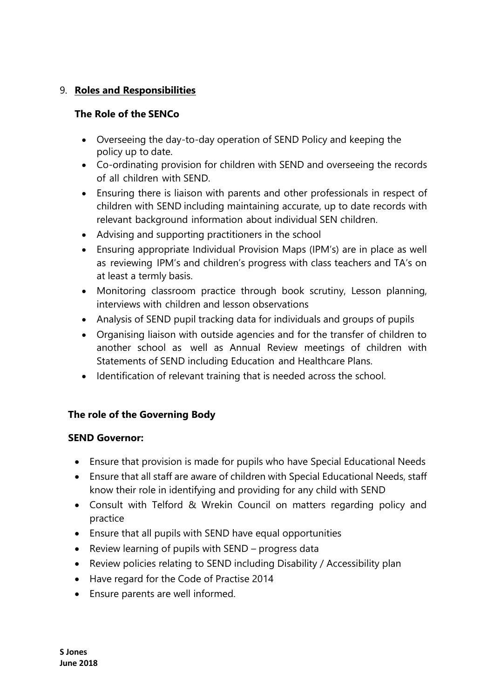# 9. **Roles and Responsibilities**

# **The Role of the SENCo**

- Overseeing the day-to-day operation of SEND Policy and keeping the policy up to date.
- Co-ordinating provision for children with SEND and overseeing the records of all children with SEND.
- Ensuring there is liaison with parents and other professionals in respect of children with SEND including maintaining accurate, up to date records with relevant background information about individual SEN children.
- Advising and supporting practitioners in the school
- Ensuring appropriate Individual Provision Maps (IPM's) are in place as well as reviewing IPM's and children's progress with class teachers and TA's on at least a termly basis.
- Monitoring classroom practice through book scrutiny, Lesson planning, interviews with children and lesson observations
- Analysis of SEND pupil tracking data for individuals and groups of pupils
- Organising liaison with outside agencies and for the transfer of children to another school as well as Annual Review meetings of children with Statements of SEND including Education and Healthcare Plans.
- Identification of relevant training that is needed across the school.

# **The role of the Governing Body**

### **SEND Governor:**

- Ensure that provision is made for pupils who have Special Educational Needs
- Ensure that all staff are aware of children with Special Educational Needs, staff know their role in identifying and providing for any child with SEND
- Consult with Telford & Wrekin Council on matters regarding policy and practice
- Ensure that all pupils with SEND have equal opportunities
- Review learning of pupils with SEND progress data
- Review policies relating to SEND including Disability / Accessibility plan
- Have regard for the Code of Practise 2014
- Ensure parents are well informed.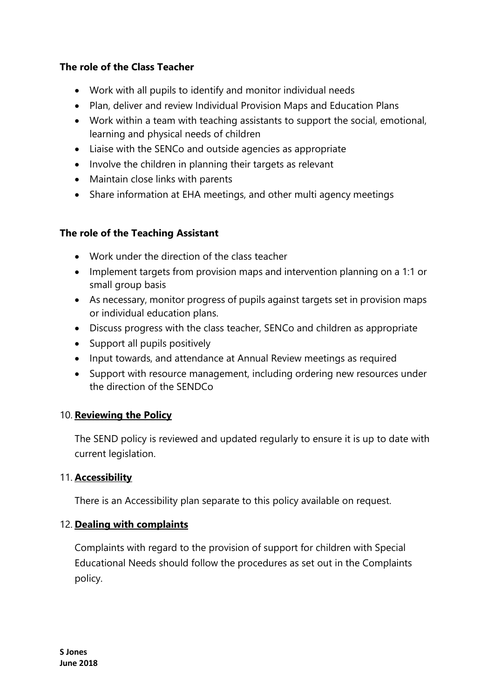### **The role of the Class Teacher**

- Work with all pupils to identify and monitor individual needs
- Plan, deliver and review Individual Provision Maps and Education Plans
- Work within a team with teaching assistants to support the social, emotional, learning and physical needs of children
- Liaise with the SENCo and outside agencies as appropriate
- Involve the children in planning their targets as relevant
- Maintain close links with parents
- Share information at EHA meetings, and other multi agency meetings

### **The role of the Teaching Assistant**

- Work under the direction of the class teacher
- Implement targets from provision maps and intervention planning on a 1:1 or small group basis
- As necessary, monitor progress of pupils against targets set in provision maps or individual education plans.
- Discuss progress with the class teacher, SENCo and children as appropriate
- Support all pupils positively
- Input towards, and attendance at Annual Review meetings as required
- Support with resource management, including ordering new resources under the direction of the SENDCo

### 10. **Reviewing the Policy**

The SEND policy is reviewed and updated regularly to ensure it is up to date with current legislation.

### 11. **Accessibility**

There is an Accessibility plan separate to this policy available on request.

### 12. **Dealing with complaints**

Complaints with regard to the provision of support for children with Special Educational Needs should follow the procedures as set out in the Complaints policy.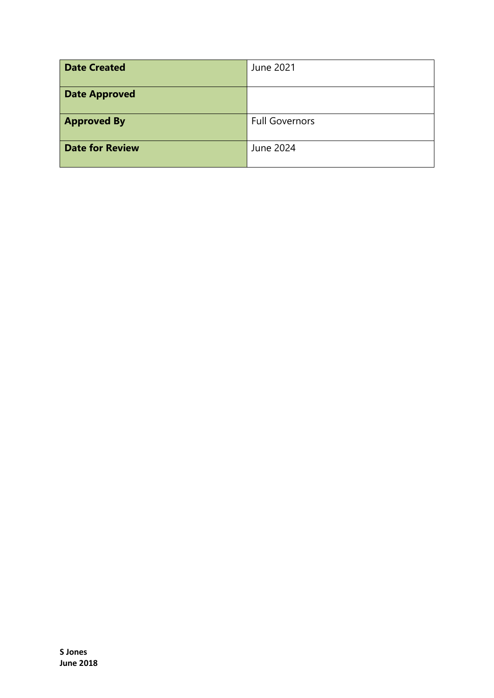| <b>Date Created</b>    | June 2021             |
|------------------------|-----------------------|
| <b>Date Approved</b>   |                       |
| <b>Approved By</b>     | <b>Full Governors</b> |
| <b>Date for Review</b> | June 2024             |